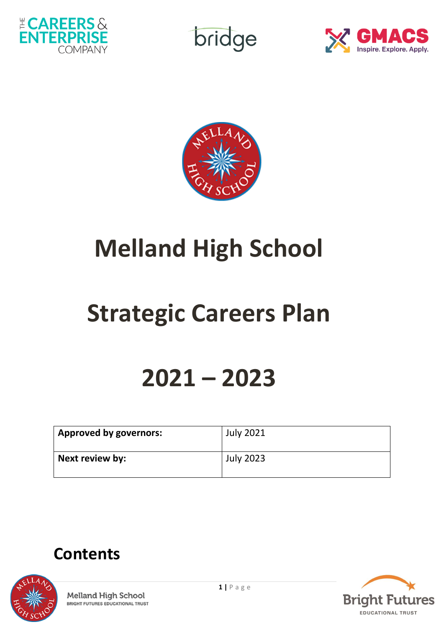

bridge





# **Melland High School**

# **Strategic Careers Plan**

# **2021 – 2023**

| <b>Approved by governors:</b> | July 2021 |
|-------------------------------|-----------|
| Next review by:               | July 2023 |

# **Contents**



**1** | P a g e **Melland High School BRIGHT FUTURES EDUCATIONAL TRUST** 

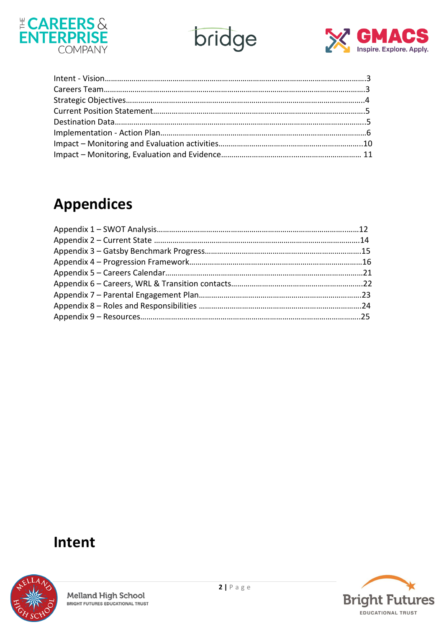





# **Appendices**

### **Intent**



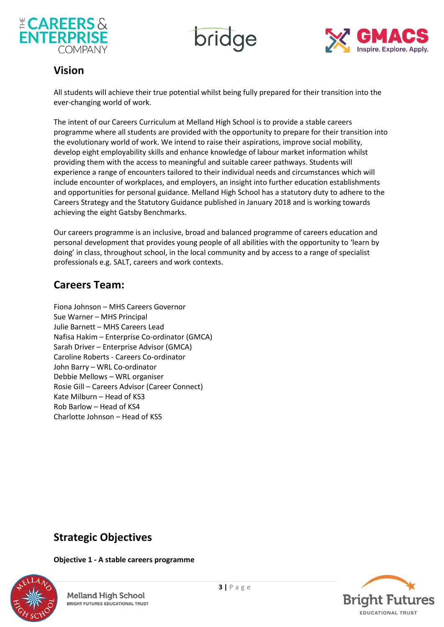





### **Vision**

All students will achieve their true potential whilst being fully prepared for their transition into the ever-changing world of work.

The intent of our Careers Curriculum at Melland High School is to provide a stable careers programme where all students are provided with the opportunity to prepare for their transition into the evolutionary world of work. We intend to raise their aspirations, improve social mobility, develop eight employability skills and enhance knowledge of labour market information whilst providing them with the access to meaningful and suitable career pathways. Students will experience a range of encounters tailored to their individual needs and circumstances which will include encounter of workplaces, and employers, an insight into further education establishments and opportunities for personal guidance. Melland High School has a statutory duty to adhere to the Careers Strategy and the Statutory Guidance published in January 2018 and is working towards achieving the eight Gatsby Benchmarks.

Our careers programme is an inclusive, broad and balanced programme of careers education and personal development that provides young people of all abilities with the opportunity to 'learn by doing' in class, throughout school, in the local community and by access to a range of specialist professionals e.g. SALT, careers and work contexts.

### **Careers Team:**

Fiona Johnson – MHS Careers Governor Sue Warner – MHS Principal Julie Barnett – MHS Careers Lead Nafisa Hakim – Enterprise Co-ordinator (GMCA) Sarah Driver – Enterprise Advisor (GMCA) Caroline Roberts - Careers Co-ordinator John Barry – WRL Co-ordinator Debbie Mellows – WRL organiser Rosie Gill – Careers Advisor (Career Connect) Kate Milburn – Head of KS3 Rob Barlow – Head of KS4 Charlotte Johnson – Head of KS5

### **Strategic Objectives**

**Objective 1 - A stable careers programme**



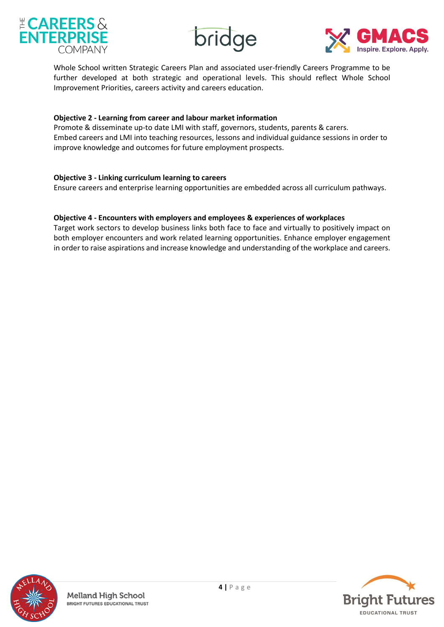

bridge



Whole School written Strategic Careers Plan and associated user-friendly Careers Programme to be further developed at both strategic and operational levels. This should reflect Whole School Improvement Priorities, careers activity and careers education.

#### **Objective 2 - Learning from career and labour market information**

Promote & disseminate up-to date LMI with staff, governors, students, parents & carers. Embed careers and LMI into teaching resources, lessons and individual guidance sessions in order to improve knowledge and outcomes for future employment prospects.

#### **Objective 3 - Linking curriculum learning to careers**

Ensure careers and enterprise learning opportunities are embedded across all curriculum pathways.

#### **Objective 4 - Encounters with employers and employees & experiences of workplaces**

Target work sectors to develop business links both face to face and virtually to positively impact on both employer encounters and work related learning opportunities. Enhance employer engagement in order to raise aspirations and increase knowledge and understanding of the workplace and careers.



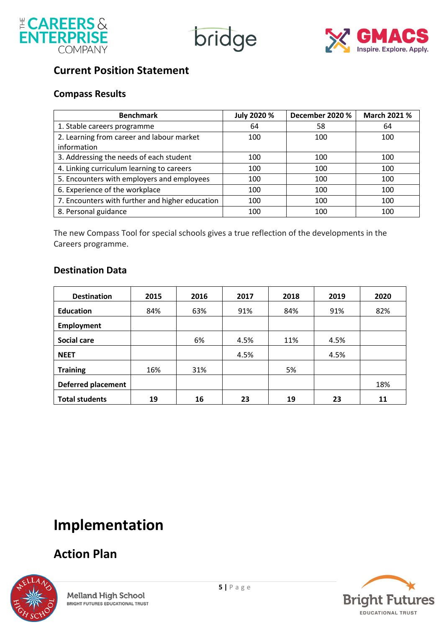





### **Current Position Statement**

### **Compass Results**

| <b>Benchmark</b>                                | July 2020 % | December 2020 % | March 2021 % |
|-------------------------------------------------|-------------|-----------------|--------------|
| 1. Stable careers programme                     | 64          | 58              | 64           |
| 2. Learning from career and labour market       | 100         | 100             | 100          |
| information                                     |             |                 |              |
| 3. Addressing the needs of each student         | 100         | 100             | 100          |
| 4. Linking curriculum learning to careers       | 100         | 100             | 100          |
| 5. Encounters with employers and employees      | 100         | 100             | 100          |
| 6. Experience of the workplace                  | 100         | 100             | 100          |
| 7. Encounters with further and higher education | 100         | 100             | 100          |
| 8. Personal guidance                            | 100         | 100             | 100          |

The new Compass Tool for special schools gives a true reflection of the developments in the Careers programme.

### **Destination Data**

| <b>Destination</b>        | 2015 | 2016 | 2017 | 2018 | 2019 | 2020 |
|---------------------------|------|------|------|------|------|------|
| <b>Education</b>          | 84%  | 63%  | 91%  | 84%  | 91%  | 82%  |
| Employment                |      |      |      |      |      |      |
| <b>Social care</b>        |      | 6%   | 4.5% | 11%  | 4.5% |      |
| <b>NEET</b>               |      |      | 4.5% |      | 4.5% |      |
| <b>Training</b>           | 16%  | 31%  |      | 5%   |      |      |
| <b>Deferred placement</b> |      |      |      |      |      | 18%  |
| <b>Total students</b>     | 19   | 16   | 23   | 19   | 23   | 11   |

# **Implementation**

## **Action Plan**



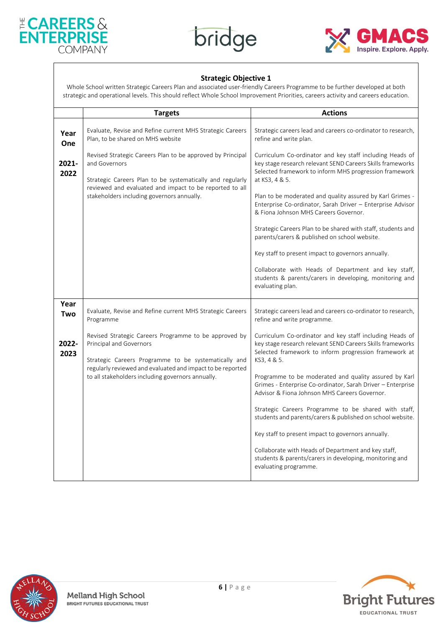





#### **Strategic Objective 1**

Whole School written Strategic Careers Plan and associated user-friendly Careers Programme to be further developed at both strategic and operational levels. This should reflect Whole School Improvement Priorities, careers activity and careers education.

|               | <b>Targets</b>                                                                                                                                                                                                                                    | <b>Actions</b>                                                                                                                                                                                                                                                                                                                                                                                                                                                                                                                                                                                                                                                                      |
|---------------|---------------------------------------------------------------------------------------------------------------------------------------------------------------------------------------------------------------------------------------------------|-------------------------------------------------------------------------------------------------------------------------------------------------------------------------------------------------------------------------------------------------------------------------------------------------------------------------------------------------------------------------------------------------------------------------------------------------------------------------------------------------------------------------------------------------------------------------------------------------------------------------------------------------------------------------------------|
| Year<br>One   | Evaluate, Revise and Refine current MHS Strategic Careers<br>Plan, to be shared on MHS website                                                                                                                                                    | Strategic careers lead and careers co-ordinator to research,<br>refine and write plan.                                                                                                                                                                                                                                                                                                                                                                                                                                                                                                                                                                                              |
| 2021-<br>2022 | Revised Strategic Careers Plan to be approved by Principal<br>and Governors<br>Strategic Careers Plan to be systematically and regularly<br>reviewed and evaluated and impact to be reported to all<br>stakeholders including governors annually. | Curriculum Co-ordinator and key staff including Heads of<br>key stage research relevant SEND Careers Skills frameworks<br>Selected framework to inform MHS progression framework<br>at KS3, 4 & 5.<br>Plan to be moderated and quality assured by Karl Grimes -<br>Enterprise Co-ordinator, Sarah Driver - Enterprise Advisor<br>& Fiona Johnson MHS Careers Governor.<br>Strategic Careers Plan to be shared with staff, students and<br>parents/carers & published on school website.<br>Key staff to present impact to governors annually.<br>Collaborate with Heads of Department and key staff,<br>students & parents/carers in developing, monitoring and<br>evaluating plan. |
| Year<br>Two   | Evaluate, Revise and Refine current MHS Strategic Careers<br>Programme                                                                                                                                                                            | Strategic careers lead and careers co-ordinator to research,<br>refine and write programme.                                                                                                                                                                                                                                                                                                                                                                                                                                                                                                                                                                                         |
| 2022-<br>2023 | Revised Strategic Careers Programme to be approved by<br>Principal and Governors<br>Strategic Careers Programme to be systematically and<br>regularly reviewed and evaluated and impact to be reported                                            | Curriculum Co-ordinator and key staff including Heads of<br>key stage research relevant SEND Careers Skills frameworks<br>Selected framework to inform progression framework at<br>KS3, 4 & 5.                                                                                                                                                                                                                                                                                                                                                                                                                                                                                      |
|               | to all stakeholders including governors annually.                                                                                                                                                                                                 | Programme to be moderated and quality assured by Karl<br>Grimes - Enterprise Co-ordinator, Sarah Driver - Enterprise<br>Advisor & Fiona Johnson MHS Careers Governor.                                                                                                                                                                                                                                                                                                                                                                                                                                                                                                               |
|               |                                                                                                                                                                                                                                                   | Strategic Careers Programme to be shared with staff,<br>students and parents/carers & published on school website.                                                                                                                                                                                                                                                                                                                                                                                                                                                                                                                                                                  |
|               |                                                                                                                                                                                                                                                   | Key staff to present impact to governors annually.                                                                                                                                                                                                                                                                                                                                                                                                                                                                                                                                                                                                                                  |
|               |                                                                                                                                                                                                                                                   | Collaborate with Heads of Department and key staff,<br>students & parents/carers in developing, monitoring and<br>evaluating programme.                                                                                                                                                                                                                                                                                                                                                                                                                                                                                                                                             |



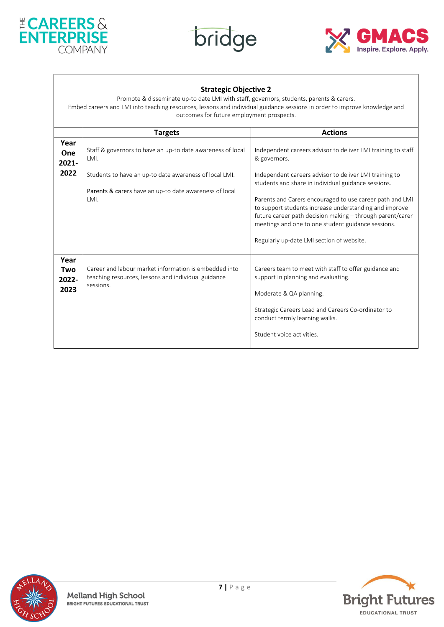





#### **Strategic Objective 2**

Promote & disseminate up-to date LMI with staff, governors, students, parents & carers. Embed careers and LMI into teaching resources, lessons and individual guidance sessions in order to improve knowledge and outcomes for future employment prospects.

|                              | <b>Targets</b>                                                                                                            | <b>Actions</b>                                                                                                                                                                                                                                                                                                                                                                                      |
|------------------------------|---------------------------------------------------------------------------------------------------------------------------|-----------------------------------------------------------------------------------------------------------------------------------------------------------------------------------------------------------------------------------------------------------------------------------------------------------------------------------------------------------------------------------------------------|
| Year<br>One<br>$2021 -$      | Staff & governors to have an up-to date awareness of local<br>LMI.                                                        | Independent careers advisor to deliver LMI training to staff<br>& governors.                                                                                                                                                                                                                                                                                                                        |
| 2022                         | Students to have an up-to date awareness of local LMI.<br>Parents & carers have an up-to date awareness of local<br>LMI.  | Independent careers advisor to deliver LMI training to<br>students and share in individual guidance sessions.<br>Parents and Carers encouraged to use career path and LMI<br>to support students increase understanding and improve<br>future career path decision making - through parent/carer<br>meetings and one to one student guidance sessions.<br>Regularly up-date LMI section of website. |
| Year<br>Two<br>2022-<br>2023 | Career and labour market information is embedded into<br>teaching resources, lessons and individual guidance<br>sessions. | Careers team to meet with staff to offer guidance and<br>support in planning and evaluating.<br>Moderate & QA planning.<br>Strategic Careers Lead and Careers Co-ordinator to<br>conduct termly learning walks.<br>Student voice activities.                                                                                                                                                        |



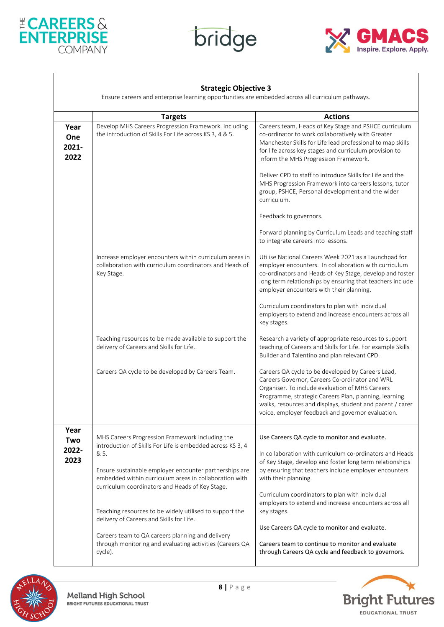





|                              | Ensure careers and enterprise learning opportunities are embedded across all curriculum pathways.                                |                                                                                                                                                                                                                                                                                                                                   |
|------------------------------|----------------------------------------------------------------------------------------------------------------------------------|-----------------------------------------------------------------------------------------------------------------------------------------------------------------------------------------------------------------------------------------------------------------------------------------------------------------------------------|
|                              | <b>Targets</b>                                                                                                                   | <b>Actions</b>                                                                                                                                                                                                                                                                                                                    |
| Year<br>One<br>2021-<br>2022 | Develop MHS Careers Progression Framework. Including<br>the introduction of Skills For Life across KS 3, 4 & 5.                  | Careers team, Heads of Key Stage and PSHCE curriculum<br>co-ordinator to work collaboratively with Greater<br>Manchester Skills for Life lead professional to map skills<br>for life across key stages and curriculum provision to<br>inform the MHS Progression Framework.                                                       |
|                              |                                                                                                                                  | Deliver CPD to staff to introduce Skills for Life and the<br>MHS Progression Framework into careers lessons, tutor<br>group, PSHCE, Personal development and the wider<br>curriculum.                                                                                                                                             |
|                              |                                                                                                                                  | Feedback to governors.                                                                                                                                                                                                                                                                                                            |
|                              |                                                                                                                                  | Forward planning by Curriculum Leads and teaching staff<br>to integrate careers into lessons.                                                                                                                                                                                                                                     |
|                              | Increase employer encounters within curriculum areas in<br>collaboration with curriculum coordinators and Heads of<br>Key Stage. | Utilise National Careers Week 2021 as a Launchpad for<br>employer encounters. In collaboration with curriculum<br>co-ordinators and Heads of Key Stage, develop and foster<br>long term relationships by ensuring that teachers include<br>employer encounters with their planning.                                               |
|                              |                                                                                                                                  | Curriculum coordinators to plan with individual<br>employers to extend and increase encounters across all<br>key stages.                                                                                                                                                                                                          |
|                              | Teaching resources to be made available to support the<br>delivery of Careers and Skills for Life.                               | Research a variety of appropriate resources to support<br>teaching of Careers and Skills for Life. For example Skills<br>Builder and Talentino and plan relevant CPD.                                                                                                                                                             |
|                              | Careers QA cycle to be developed by Careers Team.                                                                                | Careers QA cycle to be developed by Careers Lead,<br>Careers Governor, Careers Co-ordinator and WRL<br>Organiser. To include evaluation of MHS Careers<br>Programme, strategic Careers Plan, planning, learning<br>walks, resources and displays, student and parent / carer<br>voice, employer feedback and governor evaluation. |
| Year<br>Two                  | MHS Careers Progression Framework including the<br>introduction of Skills For Life is embedded across KS 3, 4                    | Use Careers QA cycle to monitor and evaluate.                                                                                                                                                                                                                                                                                     |
| 2022-<br>2023                | & 5.<br>Ensure sustainable employer encounter partnerships are<br>embedded within curriculum areas in collaboration with         | In collaboration with curriculum co-ordinators and Heads<br>of Key Stage, develop and foster long term relationships<br>by ensuring that teachers include employer encounters<br>with their planning.                                                                                                                             |
|                              | curriculum coordinators and Heads of Key Stage.<br>Teaching resources to be widely utilised to support the                       | Curriculum coordinators to plan with individual<br>employers to extend and increase encounters across all<br>key stages.                                                                                                                                                                                                          |
|                              | delivery of Careers and Skills for Life.                                                                                         | Use Careers QA cycle to monitor and evaluate.                                                                                                                                                                                                                                                                                     |
|                              | Careers team to QA careers planning and delivery<br>through monitoring and evaluating activities (Careers QA<br>cycle).          | Careers team to continue to monitor and evaluate<br>through Careers QA cycle and feedback to governors.                                                                                                                                                                                                                           |



 $\mathsf{l}$ 

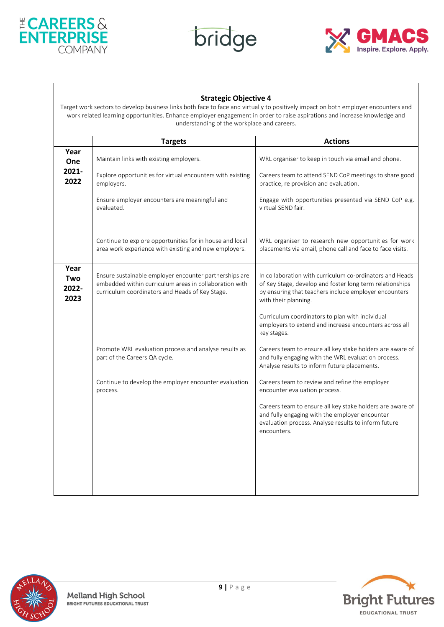





#### **Strategic Objective 4**

Target work sectors to develop business links both face to face and virtually to positively impact on both employer encounters and work related learning opportunities. Enhance employer engagement in order to raise aspirations and increase knowledge and understanding of the workplace and careers.

|                              | <b>Targets</b>                                                                                                                                                      | <b>Actions</b>                                                                                                                                                                                        |
|------------------------------|---------------------------------------------------------------------------------------------------------------------------------------------------------------------|-------------------------------------------------------------------------------------------------------------------------------------------------------------------------------------------------------|
| Year<br>One                  | Maintain links with existing employers.                                                                                                                             | WRL organiser to keep in touch via email and phone.                                                                                                                                                   |
| 2021-<br>2022                | Explore opportunities for virtual encounters with existing<br>employers.                                                                                            | Careers team to attend SEND CoP meetings to share good<br>practice, re provision and evaluation.                                                                                                      |
|                              | Ensure employer encounters are meaningful and<br>evaluated.                                                                                                         | Engage with opportunities presented via SEND CoP e.g.<br>virtual SEND fair.                                                                                                                           |
|                              | Continue to explore opportunities for in house and local<br>area work experience with existing and new employers.                                                   | WRL organiser to research new opportunities for work<br>placements via email, phone call and face to face visits.                                                                                     |
| Year<br>Two<br>2022-<br>2023 | Ensure sustainable employer encounter partnerships are<br>embedded within curriculum areas in collaboration with<br>curriculum coordinators and Heads of Key Stage. | In collaboration with curriculum co-ordinators and Heads<br>of Key Stage, develop and foster long term relationships<br>by ensuring that teachers include employer encounters<br>with their planning. |
|                              |                                                                                                                                                                     | Curriculum coordinators to plan with individual<br>employers to extend and increase encounters across all<br>key stages.                                                                              |
|                              | Promote WRL evaluation process and analyse results as<br>part of the Careers QA cycle.                                                                              | Careers team to ensure all key stake holders are aware of<br>and fully engaging with the WRL evaluation process.<br>Analyse results to inform future placements.                                      |
|                              | Continue to develop the employer encounter evaluation<br>process.                                                                                                   | Careers team to review and refine the employer<br>encounter evaluation process.                                                                                                                       |
|                              |                                                                                                                                                                     | Careers team to ensure all key stake holders are aware of<br>and fully engaging with the employer encounter<br>evaluation process. Analyse results to inform future<br>encounters.                    |
|                              |                                                                                                                                                                     |                                                                                                                                                                                                       |
|                              |                                                                                                                                                                     |                                                                                                                                                                                                       |



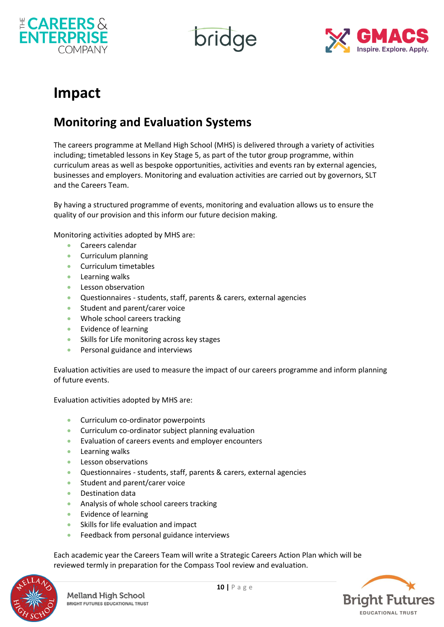

bridge



## **Impact**

### **Monitoring and Evaluation Systems**

The careers programme at Melland High School (MHS) is delivered through a variety of activities including; timetabled lessons in Key Stage 5, as part of the tutor group programme, within curriculum areas as well as bespoke opportunities, activities and events ran by external agencies, businesses and employers. Monitoring and evaluation activities are carried out by governors, SLT and the Careers Team.

By having a structured programme of events, monitoring and evaluation allows us to ensure the quality of our provision and this inform our future decision making.

Monitoring activities adopted by MHS are:

- Careers calendar
- Curriculum planning
- Curriculum timetables
- Learning walks
- Lesson observation
- Questionnaires students, staff, parents & carers, external agencies
- Student and parent/carer voice
- Whole school careers tracking
- Evidence of learning
- Skills for Life monitoring across key stages
- Personal guidance and interviews

Evaluation activities are used to measure the impact of our careers programme and inform planning of future events.

Evaluation activities adopted by MHS are:

- Curriculum co-ordinator powerpoints
- Curriculum co-ordinator subject planning evaluation
- Evaluation of careers events and employer encounters
- Learning walks
- Lesson observations
- Questionnaires students, staff, parents & carers, external agencies
- Student and parent/carer voice
- Destination data
- Analysis of whole school careers tracking
- Evidence of learning
- Skills for life evaluation and impact
- Feedback from personal guidance interviews

Each academic year the Careers Team will write a Strategic Careers Action Plan which will be reviewed termly in preparation for the Compass Tool review and evaluation.



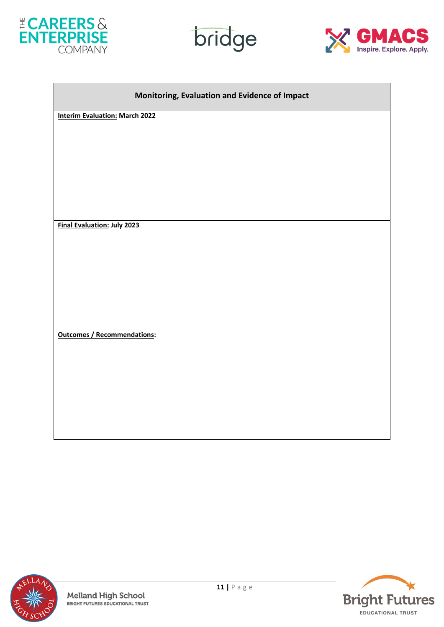

 $\overline{\phantom{a}}$ 





| Monitoring, Evaluation and Evidence of Impact |  |  |
|-----------------------------------------------|--|--|
| <b>Interim Evaluation: March 2022</b>         |  |  |
|                                               |  |  |
|                                               |  |  |
|                                               |  |  |
|                                               |  |  |
|                                               |  |  |
| <b>Final Evaluation: July 2023</b>            |  |  |
|                                               |  |  |
|                                               |  |  |
|                                               |  |  |
|                                               |  |  |
|                                               |  |  |
|                                               |  |  |
| <b>Outcomes / Recommendations:</b>            |  |  |
|                                               |  |  |
|                                               |  |  |
|                                               |  |  |
|                                               |  |  |
|                                               |  |  |
|                                               |  |  |
|                                               |  |  |



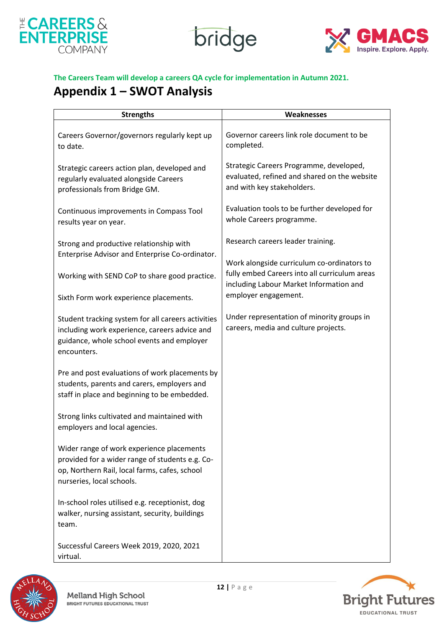





#### **The Careers Team will develop a careers QA cycle for implementation in Autumn 2021.**

### **Appendix 1 – SWOT Analysis**

| <b>Strengths</b>                                                                                                                                                           | Weaknesses                                                                                                            |
|----------------------------------------------------------------------------------------------------------------------------------------------------------------------------|-----------------------------------------------------------------------------------------------------------------------|
| Careers Governor/governors regularly kept up<br>to date.                                                                                                                   | Governor careers link role document to be<br>completed.                                                               |
| Strategic careers action plan, developed and<br>regularly evaluated alongside Careers<br>professionals from Bridge GM.                                                     | Strategic Careers Programme, developed,<br>evaluated, refined and shared on the website<br>and with key stakeholders. |
| Continuous improvements in Compass Tool<br>results year on year.                                                                                                           | Evaluation tools to be further developed for<br>whole Careers programme.                                              |
| Strong and productive relationship with                                                                                                                                    | Research careers leader training.                                                                                     |
| Enterprise Advisor and Enterprise Co-ordinator.                                                                                                                            | Work alongside curriculum co-ordinators to                                                                            |
| Working with SEND CoP to share good practice.                                                                                                                              | fully embed Careers into all curriculum areas<br>including Labour Market Information and                              |
| Sixth Form work experience placements.                                                                                                                                     | employer engagement.                                                                                                  |
| Student tracking system for all careers activities<br>including work experience, careers advice and<br>guidance, whole school events and employer<br>encounters.           | Under representation of minority groups in<br>careers, media and culture projects.                                    |
| Pre and post evaluations of work placements by<br>students, parents and carers, employers and<br>staff in place and beginning to be embedded.                              |                                                                                                                       |
| Strong links cultivated and maintained with<br>employers and local agencies.                                                                                               |                                                                                                                       |
| Wider range of work experience placements<br>provided for a wider range of students e.g. Co-<br>op, Northern Rail, local farms, cafes, school<br>nurseries, local schools. |                                                                                                                       |
| In-school roles utilised e.g. receptionist, dog<br>walker, nursing assistant, security, buildings<br>team.                                                                 |                                                                                                                       |
| Successful Careers Week 2019, 2020, 2021<br>virtual.                                                                                                                       |                                                                                                                       |



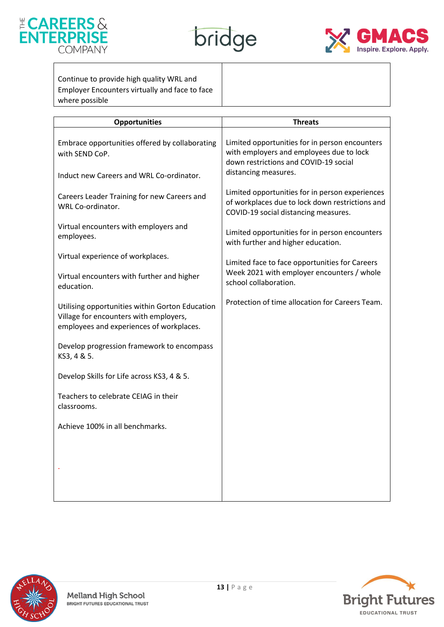





Continue to provide high quality WRL and Employer Encounters virtually and face to face where possible

| <b>Opportunities</b>                                                                                                                  | <b>Threats</b>                                                                                                                             |
|---------------------------------------------------------------------------------------------------------------------------------------|--------------------------------------------------------------------------------------------------------------------------------------------|
| Embrace opportunities offered by collaborating<br>with SEND CoP.                                                                      | Limited opportunities for in person encounters<br>with employers and employees due to lock<br>down restrictions and COVID-19 social        |
| Induct new Careers and WRL Co-ordinator.                                                                                              | distancing measures.                                                                                                                       |
| Careers Leader Training for new Careers and<br>WRL Co-ordinator.                                                                      | Limited opportunities for in person experiences<br>of workplaces due to lock down restrictions and<br>COVID-19 social distancing measures. |
| Virtual encounters with employers and<br>employees.                                                                                   | Limited opportunities for in person encounters<br>with further and higher education.                                                       |
| Virtual experience of workplaces.                                                                                                     | Limited face to face opportunities for Careers                                                                                             |
| Virtual encounters with further and higher<br>education.                                                                              | Week 2021 with employer encounters / whole<br>school collaboration.                                                                        |
| Utilising opportunities within Gorton Education<br>Village for encounters with employers,<br>employees and experiences of workplaces. | Protection of time allocation for Careers Team.                                                                                            |
| Develop progression framework to encompass<br>KS3, 4 & 5.                                                                             |                                                                                                                                            |
| Develop Skills for Life across KS3, 4 & 5.                                                                                            |                                                                                                                                            |
| Teachers to celebrate CEIAG in their<br>classrooms.                                                                                   |                                                                                                                                            |
| Achieve 100% in all benchmarks.                                                                                                       |                                                                                                                                            |
|                                                                                                                                       |                                                                                                                                            |
|                                                                                                                                       |                                                                                                                                            |
|                                                                                                                                       |                                                                                                                                            |
|                                                                                                                                       |                                                                                                                                            |



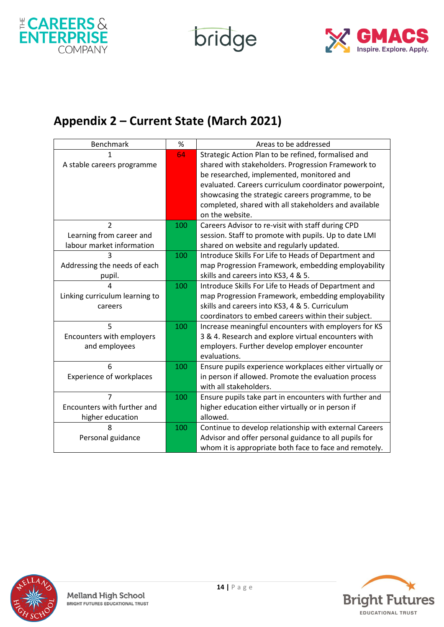

bridge



## **Appendix 2 – Current State (March 2021)**

| <b>Benchmark</b>                | %   | Areas to be addressed                                         |
|---------------------------------|-----|---------------------------------------------------------------|
| 1                               | 64  | Strategic Action Plan to be refined, formalised and           |
| A stable careers programme      |     | shared with stakeholders. Progression Framework to            |
|                                 |     | be researched, implemented, monitored and                     |
|                                 |     | evaluated. Careers curriculum coordinator powerpoint,         |
|                                 |     | showcasing the strategic careers programme, to be             |
|                                 |     | completed, shared with all stakeholders and available         |
|                                 |     | on the website.                                               |
| $\overline{2}$                  | 100 | Careers Advisor to re-visit with staff during CPD             |
| Learning from career and        |     | session. Staff to promote with pupils. Up to date LMI         |
| labour market information       |     | shared on website and regularly updated.                      |
| 3                               | 100 | Introduce Skills For Life to Heads of Department and          |
| Addressing the needs of each    |     | map Progression Framework, embedding employability            |
| pupil.                          |     | skills and careers into KS3, 4 & 5.                           |
| Δ                               | 100 | Introduce Skills For Life to Heads of Department and          |
| Linking curriculum learning to  |     | map Progression Framework, embedding employability            |
| careers                         |     | skills and careers into KS3, 4 & 5. Curriculum                |
|                                 |     | coordinators to embed careers within their subject.           |
| 5                               | 100 | Increase meaningful encounters with employers for KS          |
| Encounters with employers       |     | 3 & 4. Research and explore virtual encounters with           |
| and employees                   |     | employers. Further develop employer encounter<br>evaluations. |
| 6                               | 100 | Ensure pupils experience workplaces either virtually or       |
| <b>Experience of workplaces</b> |     | in person if allowed. Promote the evaluation process          |
|                                 |     | with all stakeholders.                                        |
| 7                               | 100 | Ensure pupils take part in encounters with further and        |
| Encounters with further and     |     | higher education either virtually or in person if             |
| higher education                |     | allowed.                                                      |
| 8                               | 100 | Continue to develop relationship with external Careers        |
| Personal guidance               |     | Advisor and offer personal guidance to all pupils for         |
|                                 |     | whom it is appropriate both face to face and remotely.        |
|                                 |     |                                                               |



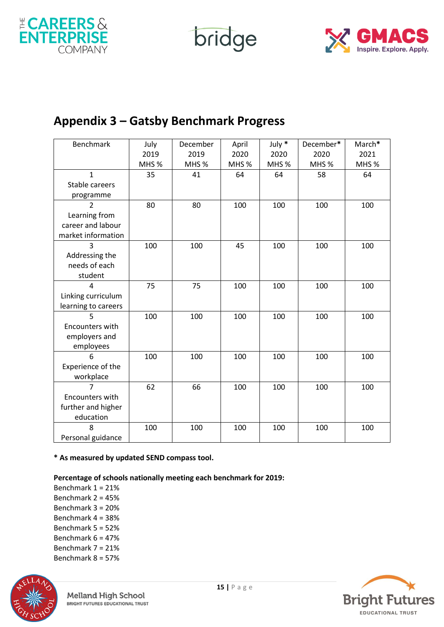

bridge



### **Appendix 3 – Gatsby Benchmark Progress**

| <b>Benchmark</b>    | July  | December         | April | July * | December* | March* |
|---------------------|-------|------------------|-------|--------|-----------|--------|
|                     | 2019  | 2019             | 2020  | 2020   | 2020      | 2021   |
|                     | MHS % | MHS <sub>%</sub> | MHS % | MHS %  | MHS %     | MHS %  |
| 1                   | 35    | 41               | 64    | 64     | 58        | 64     |
| Stable careers      |       |                  |       |        |           |        |
| programme           |       |                  |       |        |           |        |
| $\overline{2}$      | 80    | 80               | 100   | 100    | 100       | 100    |
| Learning from       |       |                  |       |        |           |        |
| career and labour   |       |                  |       |        |           |        |
| market information  |       |                  |       |        |           |        |
| 3                   | 100   | 100              | 45    | 100    | 100       | 100    |
| Addressing the      |       |                  |       |        |           |        |
| needs of each       |       |                  |       |        |           |        |
| student             |       |                  |       |        |           |        |
| $\overline{4}$      | 75    | 75               | 100   | 100    | 100       | 100    |
| Linking curriculum  |       |                  |       |        |           |        |
| learning to careers |       |                  |       |        |           |        |
| 5                   | 100   | 100              | 100   | 100    | 100       | 100    |
| Encounters with     |       |                  |       |        |           |        |
| employers and       |       |                  |       |        |           |        |
| employees           |       |                  |       |        |           |        |
| 6                   | 100   | 100              | 100   | 100    | 100       | 100    |
| Experience of the   |       |                  |       |        |           |        |
| workplace           |       |                  |       |        |           |        |
| 7                   | 62    | 66               | 100   | 100    | 100       | 100    |
| Encounters with     |       |                  |       |        |           |        |
| further and higher  |       |                  |       |        |           |        |
| education           |       |                  |       |        |           |        |
| 8                   | 100   | 100              | 100   | 100    | 100       | 100    |
| Personal guidance   |       |                  |       |        |           |        |

**\* As measured by updated SEND compass tool.**

#### **Percentage of schools nationally meeting each benchmark for 2019:**

Benchmark 1 = 21% Benchmark 2 = 45% Benchmark 3 = 20% Benchmark 4 = 38% Benchmark 5 = 52% Benchmark 6 = 47% Benchmark 7 = 21% Benchmark 8 = 57%



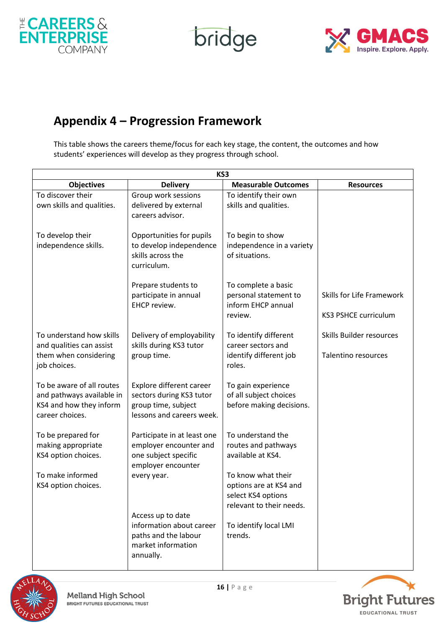

bridge



### **Appendix 4 – Progression Framework**

This table shows the careers theme/focus for each key stage, the content, the outcomes and how students' experiences will develop as they progress through school.

|                                                                                                      |                                                                                                          | KS3                                                                                            |                                                          |
|------------------------------------------------------------------------------------------------------|----------------------------------------------------------------------------------------------------------|------------------------------------------------------------------------------------------------|----------------------------------------------------------|
| <b>Objectives</b>                                                                                    | <b>Delivery</b>                                                                                          | <b>Measurable Outcomes</b>                                                                     | <b>Resources</b>                                         |
| To discover their<br>own skills and qualities.                                                       | Group work sessions<br>delivered by external<br>careers advisor.                                         | To identify their own<br>skills and qualities.                                                 |                                                          |
| To develop their<br>independence skills.                                                             | Opportunities for pupils<br>to develop independence<br>skills across the<br>curriculum.                  | To begin to show<br>independence in a variety<br>of situations.                                |                                                          |
|                                                                                                      | Prepare students to<br>participate in annual<br>EHCP review.                                             | To complete a basic<br>personal statement to<br>inform EHCP annual<br>review.                  | Skills for Life Framework<br><b>KS3 PSHCE curriculum</b> |
| To understand how skills<br>and qualities can assist<br>them when considering<br>job choices.        | Delivery of employability<br>skills during KS3 tutor<br>group time.                                      | To identify different<br>career sectors and<br>identify different job<br>roles.                | Skills Builder resources<br><b>Talentino resources</b>   |
| To be aware of all routes<br>and pathways available in<br>KS4 and how they inform<br>career choices. | Explore different career<br>sectors during KS3 tutor<br>group time, subject<br>lessons and careers week. | To gain experience<br>of all subject choices<br>before making decisions.                       |                                                          |
| To be prepared for<br>making appropriate<br>KS4 option choices.                                      | Participate in at least one<br>employer encounter and<br>one subject specific<br>employer encounter      | To understand the<br>routes and pathways<br>available at KS4.                                  |                                                          |
| To make informed<br>KS4 option choices.                                                              | every year.                                                                                              | To know what their<br>options are at KS4 and<br>select KS4 options<br>relevant to their needs. |                                                          |
|                                                                                                      | Access up to date<br>information about career<br>paths and the labour<br>market information<br>annually. | To identify local LMI<br>trends.                                                               |                                                          |



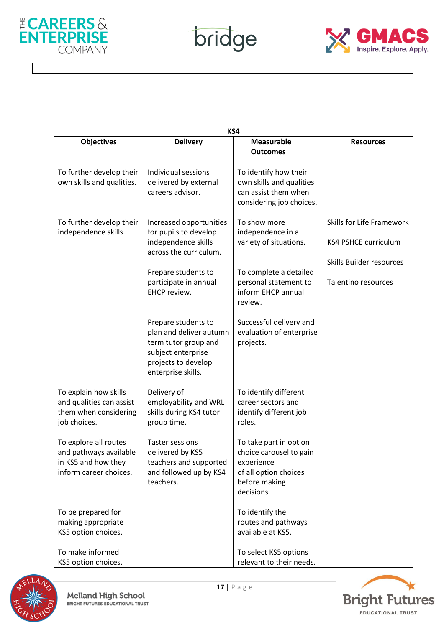



| KS4                                                                                              |                                                                                                                                           |                                                                                                                         |                                                                                      |
|--------------------------------------------------------------------------------------------------|-------------------------------------------------------------------------------------------------------------------------------------------|-------------------------------------------------------------------------------------------------------------------------|--------------------------------------------------------------------------------------|
| <b>Objectives</b>                                                                                | <b>Delivery</b>                                                                                                                           | <b>Measurable</b><br><b>Outcomes</b>                                                                                    | <b>Resources</b>                                                                     |
| To further develop their<br>own skills and qualities.                                            | Individual sessions<br>delivered by external<br>careers advisor.                                                                          | To identify how their<br>own skills and qualities<br>can assist them when<br>considering job choices.                   |                                                                                      |
| To further develop their<br>independence skills.                                                 | Increased opportunities<br>for pupils to develop<br>independence skills<br>across the curriculum.                                         | To show more<br>independence in a<br>variety of situations.                                                             | Skills for Life Framework<br><b>KS4 PSHCE curriculum</b><br>Skills Builder resources |
|                                                                                                  | Prepare students to<br>participate in annual<br>EHCP review.                                                                              | To complete a detailed<br>personal statement to<br>inform EHCP annual<br>review.                                        | <b>Talentino resources</b>                                                           |
|                                                                                                  | Prepare students to<br>plan and deliver autumn<br>term tutor group and<br>subject enterprise<br>projects to develop<br>enterprise skills. | Successful delivery and<br>evaluation of enterprise<br>projects.                                                        |                                                                                      |
| To explain how skills<br>and qualities can assist<br>them when considering<br>job choices.       | Delivery of<br>employability and WRL<br>skills during KS4 tutor<br>group time.                                                            | To identify different<br>career sectors and<br>identify different job<br>roles.                                         |                                                                                      |
| To explore all routes<br>and pathways available<br>in KS5 and how they<br>inform career choices. | <b>Taster sessions</b><br>delivered by KS5<br>teachers and supported<br>and followed up by KS4<br>teachers.                               | To take part in option<br>choice carousel to gain<br>experience<br>of all option choices<br>before making<br>decisions. |                                                                                      |
| To be prepared for<br>making appropriate<br>KS5 option choices.                                  |                                                                                                                                           | To identify the<br>routes and pathways<br>available at KS5.                                                             |                                                                                      |
| To make informed<br>KS5 option choices.                                                          |                                                                                                                                           | To select KS5 options<br>relevant to their needs.                                                                       |                                                                                      |

bridge



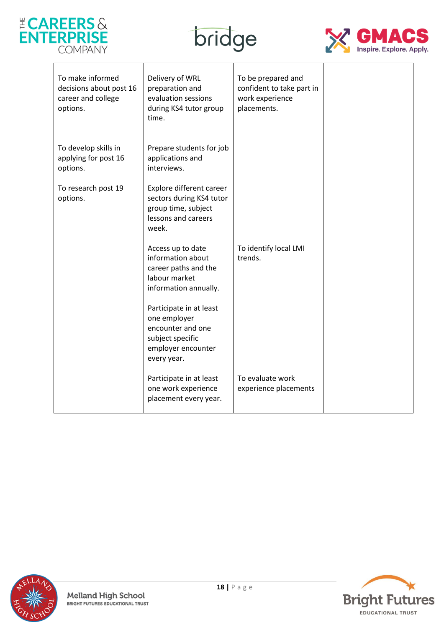

 $\mathbf{r}$ 





| To make informed<br>decisions about post 16<br>career and college<br>options. | Delivery of WRL<br>preparation and<br>evaluation sessions<br>during KS4 tutor group<br>time.                          | To be prepared and<br>confident to take part in<br>work experience<br>placements. |  |
|-------------------------------------------------------------------------------|-----------------------------------------------------------------------------------------------------------------------|-----------------------------------------------------------------------------------|--|
| To develop skills in<br>applying for post 16<br>options.                      | Prepare students for job<br>applications and<br>interviews.                                                           |                                                                                   |  |
| To research post 19<br>options.                                               | Explore different career<br>sectors during KS4 tutor<br>group time, subject<br>lessons and careers<br>week.           |                                                                                   |  |
|                                                                               | Access up to date<br>information about<br>career paths and the<br>labour market<br>information annually.              | To identify local LMI<br>trends.                                                  |  |
|                                                                               | Participate in at least<br>one employer<br>encounter and one<br>subject specific<br>employer encounter<br>every year. |                                                                                   |  |
|                                                                               | Participate in at least<br>one work experience<br>placement every year.                                               | To evaluate work<br>experience placements                                         |  |



**18** | P a g e<br> **18** | P a g e<br>
BRIGHT FUTURES EDUCATIONAL TRUST

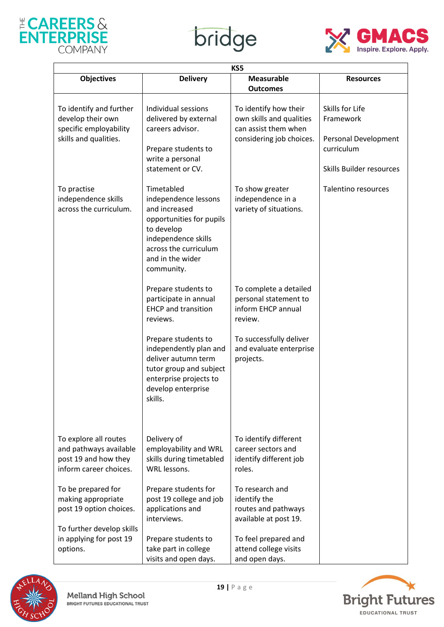





| KS5                                                                                               |                                                                                                                                                                                 |                                                                                                       |                                                                                                |  |
|---------------------------------------------------------------------------------------------------|---------------------------------------------------------------------------------------------------------------------------------------------------------------------------------|-------------------------------------------------------------------------------------------------------|------------------------------------------------------------------------------------------------|--|
| <b>Objectives</b>                                                                                 | <b>Delivery</b>                                                                                                                                                                 | <b>Measurable</b><br><b>Outcomes</b>                                                                  | <b>Resources</b>                                                                               |  |
| To identify and further<br>develop their own<br>specific employability<br>skills and qualities.   | Individual sessions<br>delivered by external<br>careers advisor.<br>Prepare students to<br>write a personal<br>statement or CV.                                                 | To identify how their<br>own skills and qualities<br>can assist them when<br>considering job choices. | Skills for Life<br>Framework<br>Personal Development<br>curriculum<br>Skills Builder resources |  |
| To practise<br>independence skills<br>across the curriculum.                                      | Timetabled<br>independence lessons<br>and increased<br>opportunities for pupils<br>to develop<br>independence skills<br>across the curriculum<br>and in the wider<br>community. | To show greater<br>independence in a<br>variety of situations.                                        | Talentino resources                                                                            |  |
|                                                                                                   | Prepare students to<br>participate in annual<br><b>EHCP</b> and transition<br>reviews.                                                                                          | To complete a detailed<br>personal statement to<br>inform EHCP annual<br>review.                      |                                                                                                |  |
|                                                                                                   | Prepare students to<br>independently plan and<br>deliver autumn term<br>tutor group and subject<br>enterprise projects to<br>develop enterprise<br>skills.                      | To successfully deliver<br>and evaluate enterprise<br>projects.                                       |                                                                                                |  |
| To explore all routes<br>and pathways available<br>post 19 and how they<br>inform career choices. | Delivery of<br>employability and WRL<br>skills during timetabled<br>WRL lessons.                                                                                                | To identify different<br>career sectors and<br>identify different job<br>roles.                       |                                                                                                |  |
| To be prepared for<br>making appropriate<br>post 19 option choices.<br>To further develop skills  | Prepare students for<br>post 19 college and job<br>applications and<br>interviews.                                                                                              | To research and<br>identify the<br>routes and pathways<br>available at post 19.                       |                                                                                                |  |
| in applying for post 19<br>options.                                                               | Prepare students to<br>take part in college<br>visits and open days.                                                                                                            | To feel prepared and<br>attend college visits<br>and open days.                                       |                                                                                                |  |



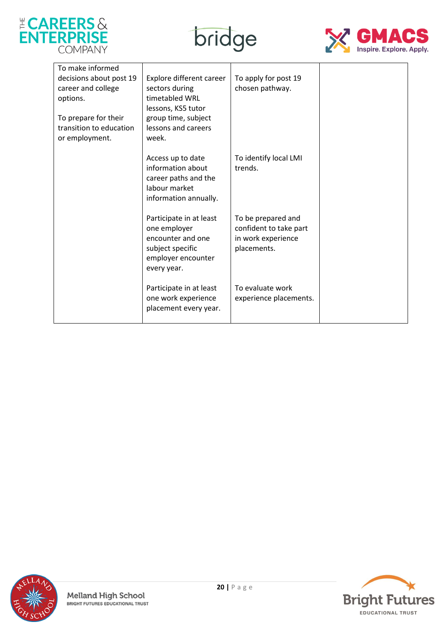





| To make informed<br>decisions about post 19<br>career and college<br>options.<br>To prepare for their<br>transition to education<br>or employment. | Explore different career<br>sectors during<br>timetabled WRL<br>lessons, KS5 tutor<br>group time, subject<br>lessons and careers<br>week. | To apply for post 19<br>chosen pathway.                                           |  |
|----------------------------------------------------------------------------------------------------------------------------------------------------|-------------------------------------------------------------------------------------------------------------------------------------------|-----------------------------------------------------------------------------------|--|
|                                                                                                                                                    | Access up to date<br>information about<br>career paths and the<br>labour market<br>information annually.                                  | To identify local LMI<br>trends.                                                  |  |
|                                                                                                                                                    | Participate in at least<br>one employer<br>encounter and one<br>subject specific<br>employer encounter<br>every year.                     | To be prepared and<br>confident to take part<br>in work experience<br>placements. |  |
|                                                                                                                                                    | Participate in at least<br>one work experience<br>placement every year.                                                                   | To evaluate work<br>experience placements.                                        |  |



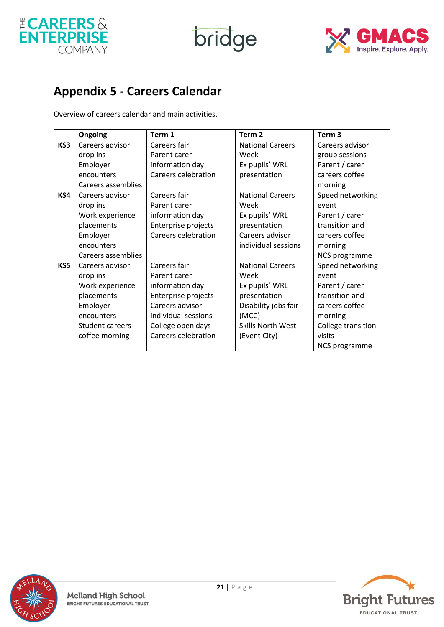

bridge



### **Appendix 5 - Careers Calendar**

Overview of careers calendar and main activities.

|     | Ongoing                   | Term 1                     | Term <sub>2</sub>        | Term <sub>3</sub>  |
|-----|---------------------------|----------------------------|--------------------------|--------------------|
| KS3 | Careers advisor           | Careers fair               | <b>National Careers</b>  | Careers advisor    |
|     | drop ins                  | Parent carer               | Week                     | group sessions     |
|     | Employer                  | information day            | Ex pupils' WRL           | Parent / carer     |
|     | encounters                | <b>Careers celebration</b> | presentation             | careers coffee     |
|     | <b>Careers assemblies</b> |                            |                          | morning            |
| KS4 | Careers advisor           | Careers fair               | <b>National Careers</b>  | Speed networking   |
|     | drop ins                  | Parent carer               | Week                     | event              |
|     | Work experience           | information day            | Ex pupils' WRL           | Parent / carer     |
|     | placements                | Enterprise projects        | presentation             | transition and     |
|     | Employer                  | Careers celebration        | Careers advisor          | careers coffee     |
|     | encounters                |                            | individual sessions      | morning            |
|     | Careers assemblies        |                            |                          | NCS programme      |
| KS5 | Careers advisor           | Careers fair               | <b>National Careers</b>  | Speed networking   |
|     | drop ins                  | Parent carer               | Week                     | event              |
|     | Work experience           | information day            | Ex pupils' WRL           | Parent / carer     |
|     | placements                | Enterprise projects        | presentation             | transition and     |
|     | Employer                  | Careers advisor            | Disability jobs fair     | careers coffee     |
|     | encounters                | individual sessions        | (MCC)                    | morning            |
|     | Student careers           | College open days          | <b>Skills North West</b> | College transition |
|     | coffee morning            | <b>Careers celebration</b> | (Event City)             | visits             |
|     |                           |                            |                          | NCS programme      |



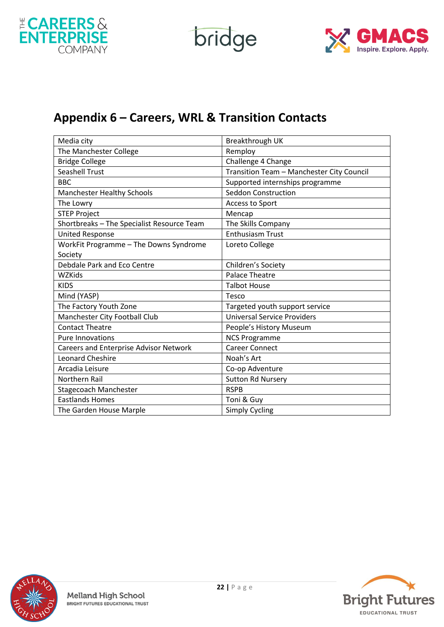

bridge



### **Appendix 6 – Careers, WRL & Transition Contacts**

| Media city                                 | Breakthrough UK                           |
|--------------------------------------------|-------------------------------------------|
| The Manchester College                     | Remploy                                   |
| <b>Bridge College</b>                      | Challenge 4 Change                        |
| <b>Seashell Trust</b>                      | Transition Team - Manchester City Council |
| <b>BBC</b>                                 | Supported internships programme           |
| <b>Manchester Healthy Schools</b>          | Seddon Construction                       |
| The Lowry                                  | Access to Sport                           |
| <b>STEP Project</b>                        | Mencap                                    |
| Shortbreaks - The Specialist Resource Team | The Skills Company                        |
| <b>United Response</b>                     | <b>Enthusiasm Trust</b>                   |
| WorkFit Programme - The Downs Syndrome     | Loreto College                            |
| Society                                    |                                           |
| <b>Debdale Park and Eco Centre</b>         | Children's Society                        |
| <b>WZKids</b>                              | <b>Palace Theatre</b>                     |
| <b>KIDS</b>                                | <b>Talbot House</b>                       |
| Mind (YASP)                                | Tesco                                     |
| The Factory Youth Zone                     | Targeted youth support service            |
| Manchester City Football Club              | <b>Universal Service Providers</b>        |
| <b>Contact Theatre</b>                     | People's History Museum                   |
| <b>Pure Innovations</b>                    | <b>NCS Programme</b>                      |
| Careers and Enterprise Advisor Network     | <b>Career Connect</b>                     |
| <b>Leonard Cheshire</b>                    | Noah's Art                                |
| Arcadia Leisure                            | Co-op Adventure                           |
| <b>Northern Rail</b>                       | <b>Sutton Rd Nursery</b>                  |
| <b>Stagecoach Manchester</b>               | <b>RSPB</b>                               |
| <b>Eastlands Homes</b>                     | Toni & Guy                                |
| The Garden House Marple                    | <b>Simply Cycling</b>                     |



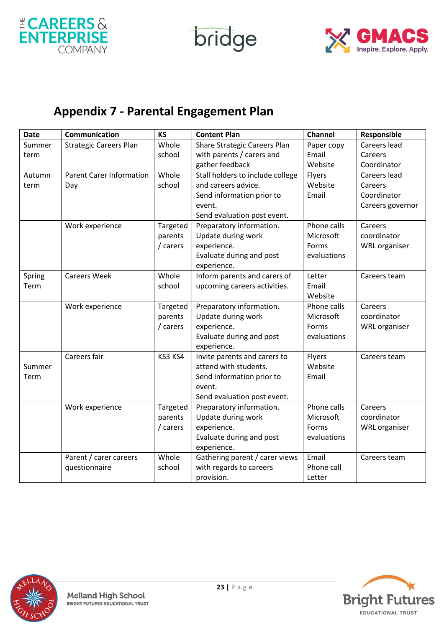

bridge



### **Appendix 7 - Parental Engagement Plan**

| <b>Date</b> | Communication                   | <b>KS</b> | <b>Content Plan</b>              | Channel     | Responsible          |
|-------------|---------------------------------|-----------|----------------------------------|-------------|----------------------|
| Summer      | <b>Strategic Careers Plan</b>   | Whole     | Share Strategic Careers Plan     | Paper copy  | Careers lead         |
| term        |                                 | school    | with parents / carers and        | Email       | Careers              |
|             |                                 |           | gather feedback                  | Website     | Coordinator          |
| Autumn      | <b>Parent Carer Information</b> | Whole     | Stall holders to include college | Flyers      | Careers lead         |
| term        | Day                             | school    | and careers advice.              | Website     | Careers              |
|             |                                 |           | Send information prior to        | Email       | Coordinator          |
|             |                                 |           | event.                           |             | Careers governor     |
|             |                                 |           | Send evaluation post event.      |             |                      |
|             | Work experience                 | Targeted  | Preparatory information.         | Phone calls | Careers              |
|             |                                 | parents   | Update during work               | Microsoft   | coordinator          |
|             |                                 | / carers  | experience.                      | Forms       | <b>WRL</b> organiser |
|             |                                 |           | Evaluate during and post         | evaluations |                      |
|             |                                 |           | experience.                      |             |                      |
| Spring      | <b>Careers Week</b>             | Whole     | Inform parents and carers of     | Letter      | Careers team         |
| Term        |                                 | school    | upcoming careers activities.     | Email       |                      |
|             |                                 |           |                                  | Website     |                      |
|             | Work experience                 | Targeted  | Preparatory information.         | Phone calls | Careers              |
|             |                                 | parents   | Update during work               | Microsoft   | coordinator          |
|             |                                 | / carers  | experience.                      | Forms       | <b>WRL</b> organiser |
|             |                                 |           | Evaluate during and post         | evaluations |                      |
|             |                                 |           | experience.                      |             |                      |
|             | Careers fair                    | KS3 KS4   | Invite parents and carers to     | Flyers      | Careers team         |
| Summer      |                                 |           | attend with students.            | Website     |                      |
| Term        |                                 |           | Send information prior to        | Email       |                      |
|             |                                 |           | event.                           |             |                      |
|             |                                 |           | Send evaluation post event.      |             |                      |
|             | Work experience                 | Targeted  | Preparatory information.         | Phone calls | Careers              |
|             |                                 | parents   | Update during work               | Microsoft   | coordinator          |
|             |                                 | / carers  | experience.                      | Forms       | <b>WRL</b> organiser |
|             |                                 |           | Evaluate during and post         | evaluations |                      |
|             |                                 |           | experience.                      |             |                      |
|             | Parent / carer careers          | Whole     | Gathering parent / carer views   | Email       | Careers team         |
|             | questionnaire                   | school    | with regards to careers          | Phone call  |                      |
|             |                                 |           | provision.                       | Letter      |                      |



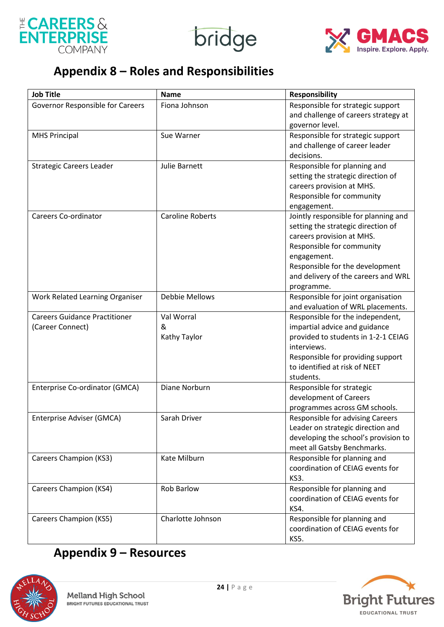





### **Appendix 8 – Roles and Responsibilities**

| <b>Job Title</b>                     | <b>Name</b>             | <b>Responsibility</b>                              |
|--------------------------------------|-------------------------|----------------------------------------------------|
| Governor Responsible for Careers     | Fiona Johnson           | Responsible for strategic support                  |
|                                      |                         | and challenge of careers strategy at               |
|                                      |                         | governor level.                                    |
| <b>MHS Principal</b>                 | Sue Warner              | Responsible for strategic support                  |
|                                      |                         | and challenge of career leader                     |
|                                      |                         | decisions.                                         |
| <b>Strategic Careers Leader</b>      | <b>Julie Barnett</b>    | Responsible for planning and                       |
|                                      |                         | setting the strategic direction of                 |
|                                      |                         | careers provision at MHS.                          |
|                                      |                         | Responsible for community                          |
|                                      |                         | engagement.                                        |
| <b>Careers Co-ordinator</b>          | <b>Caroline Roberts</b> | Jointly responsible for planning and               |
|                                      |                         | setting the strategic direction of                 |
|                                      |                         | careers provision at MHS.                          |
|                                      |                         | Responsible for community                          |
|                                      |                         | engagement.                                        |
|                                      |                         | Responsible for the development                    |
|                                      |                         | and delivery of the careers and WRL                |
|                                      |                         | programme.                                         |
| Work Related Learning Organiser      | <b>Debbie Mellows</b>   | Responsible for joint organisation                 |
| <b>Careers Guidance Practitioner</b> |                         | and evaluation of WRL placements.                  |
|                                      | Val Worral              | Responsible for the independent,                   |
| (Career Connect)                     | &                       | impartial advice and guidance                      |
|                                      | Kathy Taylor            | provided to students in 1-2-1 CEIAG<br>interviews. |
|                                      |                         | Responsible for providing support                  |
|                                      |                         | to identified at risk of NEET                      |
|                                      |                         | students.                                          |
| Enterprise Co-ordinator (GMCA)       | Diane Norburn           | Responsible for strategic                          |
|                                      |                         | development of Careers                             |
|                                      |                         | programmes across GM schools.                      |
| Enterprise Adviser (GMCA)            | Sarah Driver            | Responsible for advising Careers                   |
|                                      |                         | Leader on strategic direction and                  |
|                                      |                         | developing the school's provision to               |
|                                      |                         | meet all Gatsby Benchmarks.                        |
| <b>Careers Champion (KS3)</b>        | Kate Milburn            | Responsible for planning and                       |
|                                      |                         | coordination of CEIAG events for                   |
|                                      |                         | KS3.                                               |
| <b>Careers Champion (KS4)</b>        | Rob Barlow              | Responsible for planning and                       |
|                                      |                         | coordination of CEIAG events for                   |
|                                      |                         | <b>KS4.</b>                                        |
| <b>Careers Champion (KS5)</b>        | Charlotte Johnson       | Responsible for planning and                       |
|                                      |                         | coordination of CEIAG events for                   |
|                                      |                         | KS5.                                               |

## **Appendix 9 – Resources**